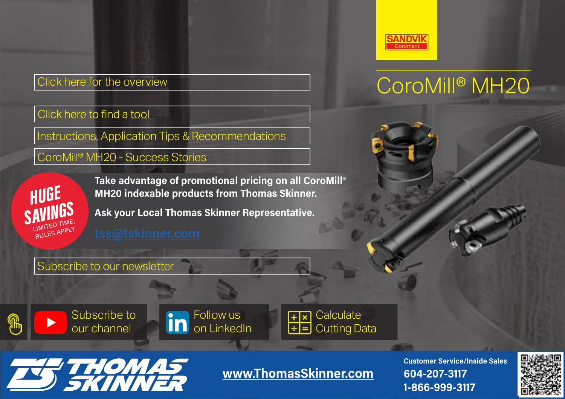### Click here for [the overview](https://www.sandvik.coromant.com/en-us/products/coromill_mh20/pages/default.aspx?utm_source=pg&utm_medium=link&utm_campaign=22001_global_pg)

Click here to find a tool

Instructions, Application Tips & [Recommendations](https://www.sandvik.coromant.com/en-us/products/coromill_mh20/pages/how-to-use.aspx?utm_source=pg&utm_medium=link&utm_campaign=22001_global_pg)

CoroMill® MH20 [- Success Stories](https://www.sandvik.coromant.com/en-us/pages/play.aspx?movieid=FAA637E1&utm_source=pg&utm_medium=link&utm_campaign=21060&utm_content=pocket_guide)

**HUGE SAVINGS** LIMITED TIME, **Take advantage of promotional pricing on all CoroMill® MH20 indexable products from Thomas Skinner.**

**Ask your Local Thomas Skinner Representative.**



### CoroMill® MH20

[Subscribe to our newsletter](https://go.sandvik.coromant.com/Newsletter-Registration-Page.html?utm_source=pg&utm_medium=link&utm_campaign=22003_global_pg)

[Subscribe to](https://www.youtube.com/user/sandvikcoromant?utm_source=pg&utm_medium=link&utm_campaign=21050&utm_content=pocket_guide)  our channel







**[www.ThomasSkinner.com](http://www.ThomasSkinner.com)**

**Customer Service/Inside Sales 604-207-3117 1-866-999-3117**